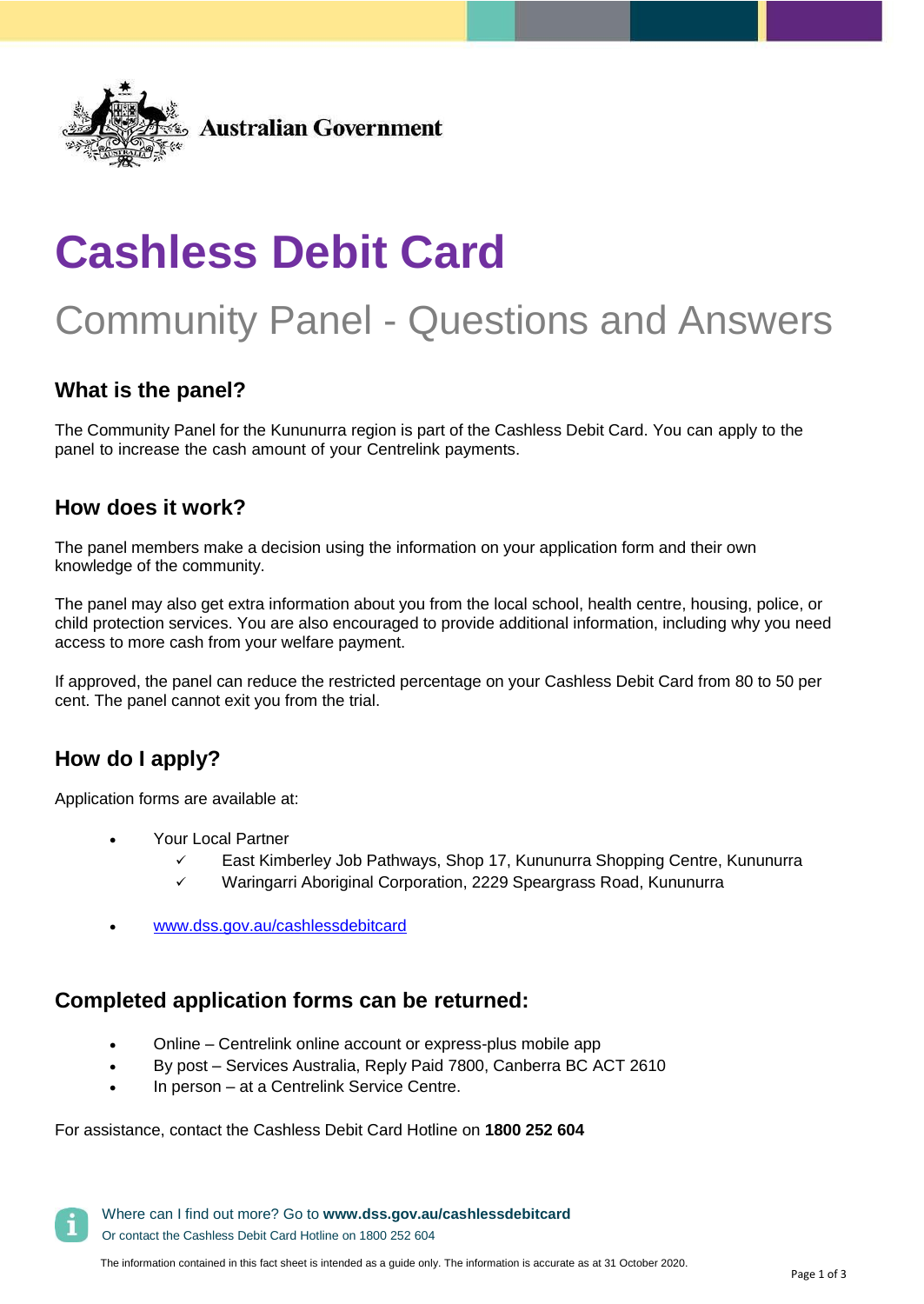

# **Cashless Debit Card**

## Community Panel - Questions and Answers

## **What is the panel?**

The Community Panel for the Kununurra region is part of the Cashless Debit Card. You can apply to the panel to increase the cash amount of your Centrelink payments.

### **How does it work?**

The panel members make a decision using the information on your application form and their own knowledge of the community.

The panel may also get extra information about you from the local school, health centre, housing, police, or child protection services. You are also encouraged to provide additional information, including why you need access to more cash from your welfare payment.

If approved, the panel can reduce the restricted percentage on your Cashless Debit Card from 80 to 50 per cent. The panel cannot exit you from the trial.

## **How do I apply?**

Application forms are available at:

- Your Local Partner
	- East Kimberley Job Pathways, Shop 17, Kununurra Shopping Centre, Kununurra
	- $\checkmark$  Waringarri Aboriginal Corporation, 2229 Speargrass Road, Kununurra
- [www.dss.gov.au/cashlessdebitcard](http://www.dss.gov.au/cashlessdebitcard)

## **Completed application forms can be returned:**

- Online Centrelink online account or express-plus mobile app
- By post Services Australia, Reply Paid 7800, Canberra BC ACT 2610
- In person at a Centrelink Service Centre.

#### For assistance, contact the Cashless Debit Card Hotline on **1800 252 604**

Where can I find out more? Go to **[www.dss.gov.au/cashlessdebitcard](http://www.dss.gov.au/cashlessdebitcard)** Or contact the Cashless Debit Card Hotline on 1800 252 604